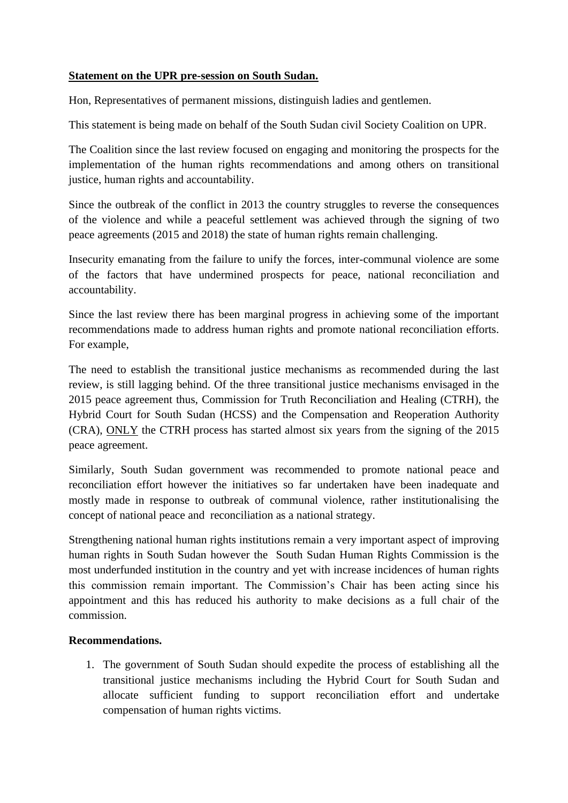## **Statement on the UPR pre-session on South Sudan.**

Hon, Representatives of permanent missions, distinguish ladies and gentlemen.

This statement is being made on behalf of the South Sudan civil Society Coalition on UPR.

The Coalition since the last review focused on engaging and monitoring the prospects for the implementation of the human rights recommendations and among others on transitional justice, human rights and accountability.

Since the outbreak of the conflict in 2013 the country struggles to reverse the consequences of the violence and while a peaceful settlement was achieved through the signing of two peace agreements (2015 and 2018) the state of human rights remain challenging.

Insecurity emanating from the failure to unify the forces, inter-communal violence are some of the factors that have undermined prospects for peace, national reconciliation and accountability.

Since the last review there has been marginal progress in achieving some of the important recommendations made to address human rights and promote national reconciliation efforts. For example,

The need to establish the transitional justice mechanisms as recommended during the last review, is still lagging behind. Of the three transitional justice mechanisms envisaged in the 2015 peace agreement thus, Commission for Truth Reconciliation and Healing (CTRH), the Hybrid Court for South Sudan (HCSS) and the Compensation and Reoperation Authority (CRA), ONLY the CTRH process has started almost six years from the signing of the 2015 peace agreement.

Similarly, South Sudan government was recommended to promote national peace and reconciliation effort however the initiatives so far undertaken have been inadequate and mostly made in response to outbreak of communal violence, rather institutionalising the concept of national peace and reconciliation as a national strategy.

Strengthening national human rights institutions remain a very important aspect of improving human rights in South Sudan however the South Sudan Human Rights Commission is the most underfunded institution in the country and yet with increase incidences of human rights this commission remain important. The Commission's Chair has been acting since his appointment and this has reduced his authority to make decisions as a full chair of the commission.

## **Recommendations.**

1. The government of South Sudan should expedite the process of establishing all the transitional justice mechanisms including the Hybrid Court for South Sudan and allocate sufficient funding to support reconciliation effort and undertake compensation of human rights victims.